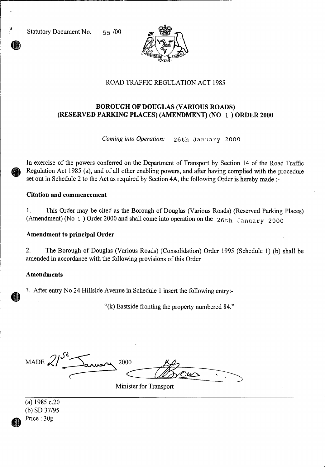Statutory Document No. 55 /00



## ROAD TRAFFIC REGULATION ACT 1985

# **BOROUGH OF DOUGLAS (VARIOUS ROADS) (RESERVED PARKING PLACES) (AMENDMENT) (NO** 1 ) **ORDER 2000**

*Coming into Operation:* 26th January 2000

In exercise of the powers conferred on the Department of Transport by Section 14 of the Road Traffic Regulation Act 1985 (a), and of all other enabling powers, and after having complied with the procedure set out in Schedule 2 to the Act as required by Section 4A, the following Order is hereby made :-

### **Citation and commencement**

1. This Order may be cited as the Borough of Douglas (Various Roads) (Reserved Parking Places) (Amendment) (No 1 ) Order 2000 and shall come into operation on the 26th January 2000

### **Amendment to principal Order**

2. The Borough of Douglas (Various Roads) (Consolidation) Order 1995 (Schedule 1) (b) shall be amended in accordance with the following provisions of this Order

### **Amendments**

3. After entry No 24 Hillside Avenue in Schedule 1 insert the following entry:-

"(k) Eastside fronting the property numbered 84."

MADE  $\mathcal{Z}$ 2000

Minister for Transport

(a) 1985 c.20 (b) SD 37/95 Price : 30p